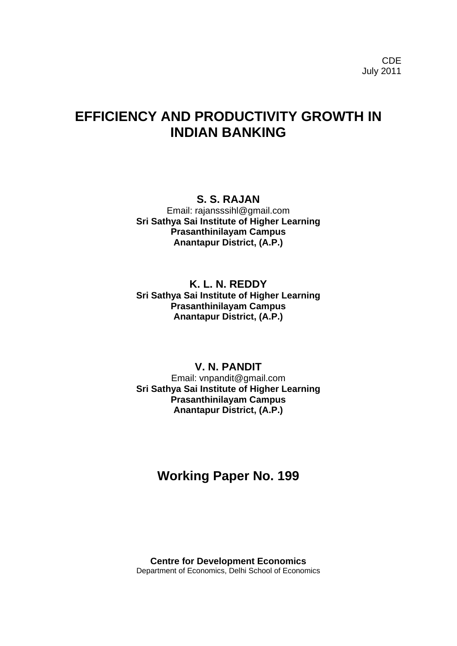# **EFFICIENCY AND PRODUCTIVITY GROWTH IN INDIAN BANKING**

## **S. S. RAJAN**

Email: rajansssihl@gmail.com **Sri Sathya Sai Institute of Higher Learning Prasanthinilayam Campus Anantapur District, (A.P.)**

## **K. L. N. REDDY Sri Sathya Sai Institute of Higher Learning Prasanthinilayam Campus Anantapur District, (A.P.)**

## **V. N. PANDIT**

Email: vnpandit@gmail.com **Sri Sathya Sai Institute of Higher Learning Prasanthinilayam Campus Anantapur District, (A.P.)**

## **Working Paper No. 199**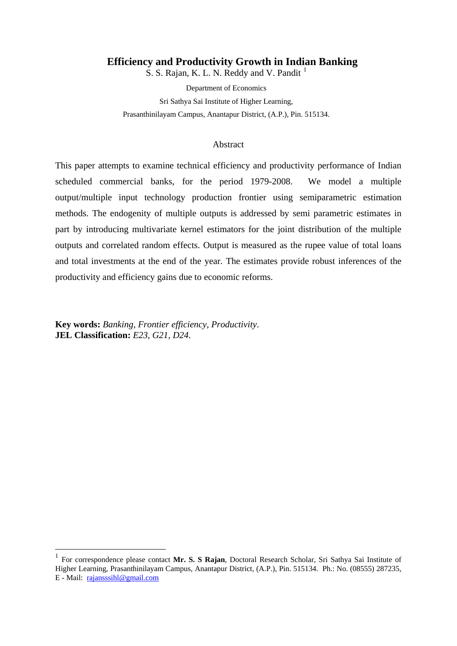### **Efficiency and Productivity Growth in Indian Banking**

S. S. Rajan, K. L. N. Reddy and V. Pandit<sup>[1](#page-1-0)</sup>

Department of Economics Sri Sathya Sai Institute of Higher Learning, Prasanthinilayam Campus, Anantapur District, (A.P.), Pin. 515134.

#### Abstract

This paper attempts to examine technical efficiency and productivity performance of Indian scheduled commercial banks, for the period 1979-2008. We model a multiple output/multiple input technology production frontier using semiparametric estimation methods. The endogenity of multiple outputs is addressed by semi parametric estimates in part by introducing multivariate kernel estimators for the joint distribution of the multiple outputs and correlated random effects. Output is measured as the rupee value of total loans and total investments at the end of the year. The estimates provide robust inferences of the productivity and efficiency gains due to economic reforms.

**Key words:** *Banking, Frontier efficiency, Productivity*. **JEL Classification:** *E23, G21, D24*.

<span id="page-1-0"></span> <sup>1</sup> For correspondence please contact **Mr. S. S Rajan**, Doctoral Research Scholar, Sri Sathya Sai Institute of Higher Learning, Prasanthinilayam Campus, Anantapur District, (A.P.), Pin. 515134. Ph.: No. (08555) 287235, E - Mail: [rajansssihl@gmail.com](mailto:rajansssihl@gmail.com)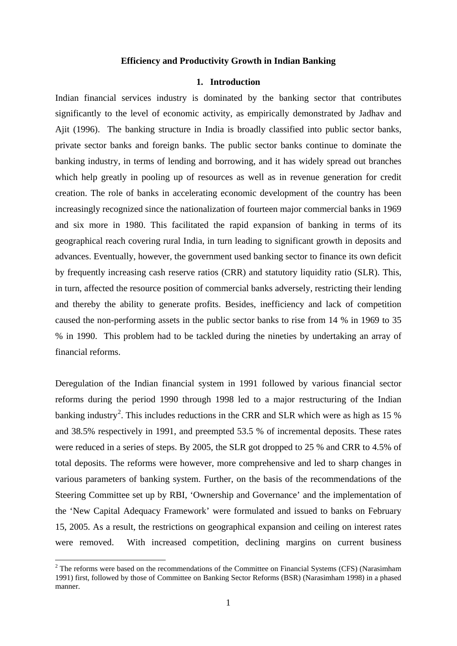#### **Efficiency and Productivity Growth in Indian Banking**

#### **1. Introduction**

Indian financial services industry is dominated by the banking sector that contributes significantly to the level of economic activity, as empirically demonstrated by Jadhav and Ajit (1996). The banking structure in India is broadly classified into public sector banks, private sector banks and foreign banks. The public sector banks continue to dominate the banking industry, in terms of lending and borrowing, and it has widely spread out branches which help greatly in pooling up of resources as well as in revenue generation for credit creation. The role of banks in accelerating economic development of the country has been increasingly recognized since the nationalization of fourteen major commercial banks in 1969 and six more in 1980. This facilitated the rapid expansion of banking in terms of its geographical reach covering rural India, in turn leading to significant growth in deposits and advances. Eventually, however, the government used banking sector to finance its own deficit by frequently increasing cash reserve ratios (CRR) and statutory liquidity ratio (SLR). This, in turn, affected the resource position of commercial banks adversely, restricting their lending and thereby the ability to generate profits. Besides, inefficiency and lack of competition caused the non-performing assets in the public sector banks to rise from 14 % in 1969 to 35 % in 1990. This problem had to be tackled during the nineties by undertaking an array of financial reforms.

Deregulation of the Indian financial system in 1991 followed by various financial sector reforms during the period 1990 through 1998 led to a major restructuring of the Indian banking industry<sup>[2](#page-2-0)</sup>. This includes reductions in the CRR and SLR which were as high as 15 % and 38.5% respectively in 1991, and preempted 53.5 % of incremental deposits. These rates were reduced in a series of steps. By 2005, the SLR got dropped to 25 % and CRR to 4.5% of total deposits. The reforms were however, more comprehensive and led to sharp changes in various parameters of banking system. Further, on the basis of the recommendations of the Steering Committee set up by RBI, 'Ownership and Governance' and the implementation of the 'New Capital Adequacy Framework' were formulated and issued to banks on February 15, 2005. As a result, the restrictions on geographical expansion and ceiling on interest rates were removed. With increased competition, declining margins on current business

<span id="page-2-0"></span><sup>&</sup>lt;sup>2</sup> The reforms were based on the recommendations of the Committee on Financial Systems (CFS) (Narasimham 1991) first, followed by those of Committee on Banking Sector Reforms (BSR) (Narasimham 1998) in a phased manner.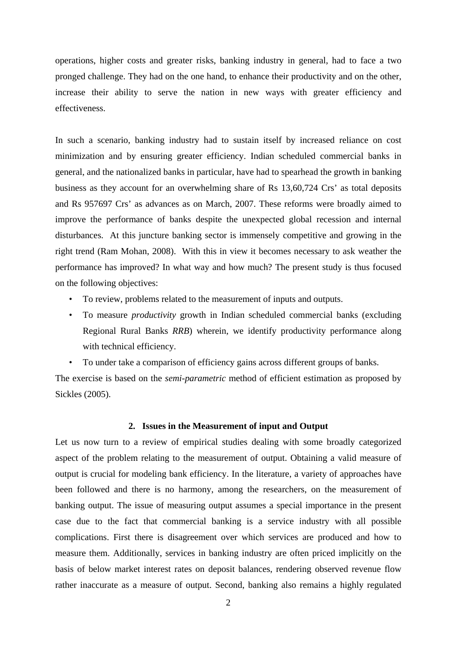operations, higher costs and greater risks, banking industry in general, had to face a two pronged challenge. They had on the one hand, to enhance their productivity and on the other, increase their ability to serve the nation in new ways with greater efficiency and effectiveness.

In such a scenario, banking industry had to sustain itself by increased reliance on cost minimization and by ensuring greater efficiency. Indian scheduled commercial banks in general, and the nationalized banks in particular, have had to spearhead the growth in banking business as they account for an overwhelming share of Rs 13,60,724 Crs' as total deposits and Rs 957697 Crs' as advances as on March, 2007. These reforms were broadly aimed to improve the performance of banks despite the unexpected global recession and internal disturbances. At this juncture banking sector is immensely competitive and growing in the right trend (Ram Mohan, 2008). With this in view it becomes necessary to ask weather the performance has improved? In what way and how much? The present study is thus focused on the following objectives:

- To review, problems related to the measurement of inputs and outputs.
- To measure *productivity* growth in Indian scheduled commercial banks (excluding Regional Rural Banks *RRB*) wherein, we identify productivity performance along with technical efficiency.
- To under take a comparison of efficiency gains across different groups of banks.

The exercise is based on the *semi-parametric* method of efficient estimation as proposed by Sickles (2005).

#### **2. Issues in the Measurement of input and Output**

Let us now turn to a review of empirical studies dealing with some broadly categorized aspect of the problem relating to the measurement of output. Obtaining a valid measure of output is crucial for modeling bank efficiency. In the literature, a variety of approaches have been followed and there is no harmony, among the researchers, on the measurement of banking output. The issue of measuring output assumes a special importance in the present case due to the fact that commercial banking is a service industry with all possible complications. First there is disagreement over which services are produced and how to measure them. Additionally, services in banking industry are often priced implicitly on the basis of below market interest rates on deposit balances, rendering observed revenue flow rather inaccurate as a measure of output. Second, banking also remains a highly regulated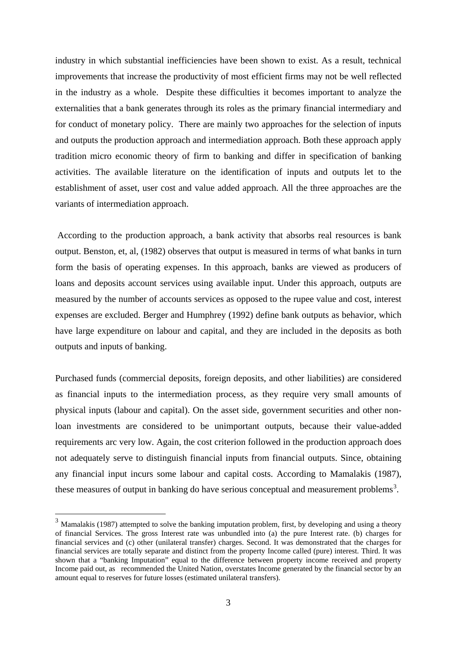industry in which substantial inefficiencies have been shown to exist. As a result, technical improvements that increase the productivity of most efficient firms may not be well reflected in the industry as a whole. Despite these difficulties it becomes important to analyze the externalities that a bank generates through its roles as the primary financial intermediary and for conduct of monetary policy. There are mainly two approaches for the selection of inputs and outputs the production approach and intermediation approach. Both these approach apply tradition micro economic theory of firm to banking and differ in specification of banking activities. The available literature on the identification of inputs and outputs let to the establishment of asset, user cost and value added approach. All the three approaches are the variants of intermediation approach.

According to the production approach, a bank activity that absorbs real resources is bank output. Benston, et, al, (1982) observes that output is measured in terms of what banks in turn form the basis of operating expenses. In this approach, banks are viewed as producers of loans and deposits account services using available input. Under this approach, outputs are measured by the number of accounts services as opposed to the rupee value and cost, interest expenses are excluded. Berger and Humphrey (1992) define bank outputs as behavior, which have large expenditure on labour and capital, and they are included in the deposits as both outputs and inputs of banking.

Purchased funds (commercial deposits, foreign deposits, and other liabilities) are considered as financial inputs to the intermediation process, as they require very small amounts of physical inputs (labour and capital). On the asset side, government securities and other nonloan investments are considered to be unimportant outputs, because their value-added requirements arc very low. Again, the cost criterion followed in the production approach does not adequately serve to distinguish financial inputs from financial outputs. Since, obtaining any financial input incurs some labour and capital costs. According to Mamalakis (1987), these measures of output in banking do have serious conceptual and measurement problems<sup>[3](#page-4-0)</sup>.

<span id="page-4-0"></span><sup>&</sup>lt;sup>3</sup> Mamalakis (1987) attempted to solve the banking imputation problem, first, by developing and using a theory of financial Services. The gross Interest rate was unbundled into (a) the pure Interest rate. (b) charges for financial services and (c) other (unilateral transfer) charges. Second. It was demonstrated that the charges for financial services are totally separate and distinct from the property Income called (pure) interest. Third. It was shown that a "banking Imputation" equal to the difference between property income received and property Income paid out, as recommended the United Nation, overstates Income generated by the financial sector by an amount equal to reserves for future losses (estimated unilateral transfers).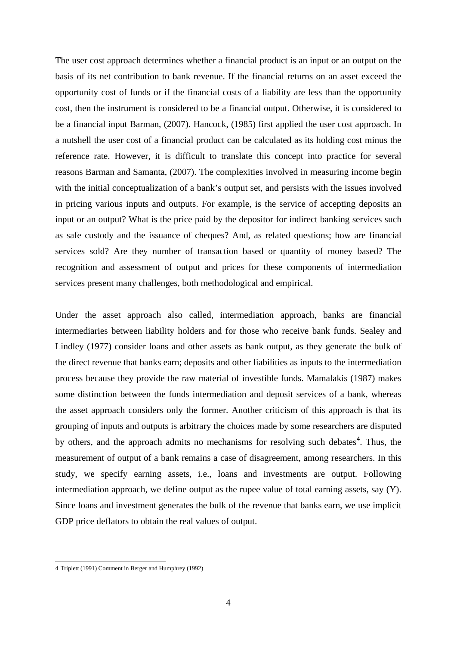The user cost approach determines whether a financial product is an input or an output on the basis of its net contribution to bank revenue. If the financial returns on an asset exceed the opportunity cost of funds or if the financial costs of a liability are less than the opportunity cost, then the instrument is considered to be a financial output. Otherwise, it is considered to be a financial input Barman, (2007). Hancock, (1985) first applied the user cost approach. In a nutshell the user cost of a financial product can be calculated as its holding cost minus the reference rate. However, it is difficult to translate this concept into practice for several reasons Barman and Samanta, (2007). The complexities involved in measuring income begin with the initial conceptualization of a bank's output set, and persists with the issues involved in pricing various inputs and outputs. For example, is the service of accepting deposits an input or an output? What is the price paid by the depositor for indirect banking services such as safe custody and the issuance of cheques? And, as related questions; how are financial services sold? Are they number of transaction based or quantity of money based? The recognition and assessment of output and prices for these components of intermediation services present many challenges, both methodological and empirical.

Under the asset approach also called, intermediation approach, banks are financial intermediaries between liability holders and for those who receive bank funds. Sealey and Lindley (1977) consider loans and other assets as bank output, as they generate the bulk of the direct revenue that banks earn; deposits and other liabilities as inputs to the intermediation process because they provide the raw material of investible funds. Mamalakis (1987) makes some distinction between the funds intermediation and deposit services of a bank, whereas the asset approach considers only the former. Another criticism of this approach is that its grouping of inputs and outputs is arbitrary the choices made by some researchers are disputed by others, and the approach admits no mechanisms for resolving such debates<sup>[4](#page-5-0)</sup>. Thus, the measurement of output of a bank remains a case of disagreement, among researchers. In this study, we specify earning assets, i.e., loans and investments are output. Following intermediation approach, we define output as the rupee value of total earning assets, say (Y). Since loans and investment generates the bulk of the revenue that banks earn, we use implicit GDP price deflators to obtain the real values of output.

<span id="page-5-0"></span> <sup>4</sup> Triplett (1991) Comment in Berger and Humphrey (1992)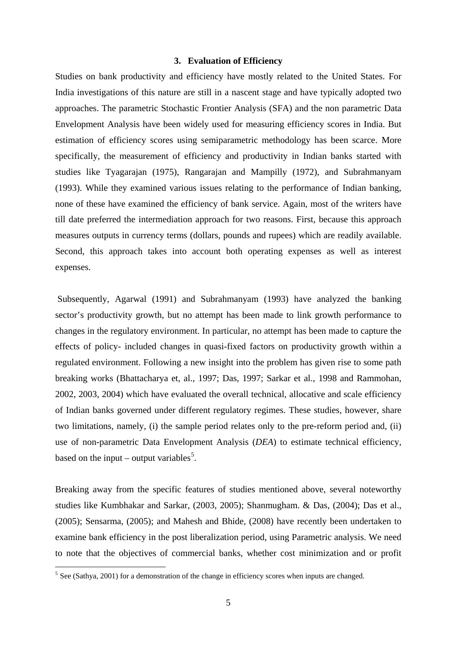#### **3. Evaluation of Efficiency**

Studies on bank productivity and efficiency have mostly related to the United States. For India investigations of this nature are still in a nascent stage and have typically adopted two approaches. The parametric Stochastic Frontier Analysis (SFA) and the non parametric Data Envelopment Analysis have been widely used for measuring efficiency scores in India. But estimation of efficiency scores using semiparametric methodology has been scarce. More specifically, the measurement of efficiency and productivity in Indian banks started with studies like Tyagarajan (1975), Rangarajan and Mampilly (1972), and Subrahmanyam (1993). While they examined various issues relating to the performance of Indian banking, none of these have examined the efficiency of bank service. Again, most of the writers have till date preferred the intermediation approach for two reasons. First, because this approach measures outputs in currency terms (dollars, pounds and rupees) which are readily available. Second, this approach takes into account both operating expenses as well as interest expenses.

Subsequently, Agarwal (1991) and Subrahmanyam (1993) have analyzed the banking sector's productivity growth, but no attempt has been made to link growth performance to changes in the regulatory environment. In particular, no attempt has been made to capture the effects of policy- included changes in quasi-fixed factors on productivity growth within a regulated environment. Following a new insight into the problem has given rise to some path breaking works (Bhattacharya et, al., 1997; Das, 1997; Sarkar et al., 1998 and Rammohan, 2002, 2003, 2004) which have evaluated the overall technical, allocative and scale efficiency of Indian banks governed under different regulatory regimes. These studies, however, share two limitations, namely, (i) the sample period relates only to the pre-reform period and, (ii) use of non-parametric Data Envelopment Analysis (*DEA*) to estimate technical efficiency, based on the input – output variables<sup>[5](#page-6-0)</sup>.

Breaking away from the specific features of studies mentioned above, several noteworthy studies like Kumbhakar and Sarkar, (2003, 2005); Shanmugham. & Das, (2004); Das et al., (2005); Sensarma, (2005); and Mahesh and Bhide, (2008) have recently been undertaken to examine bank efficiency in the post liberalization period, using Parametric analysis. We need to note that the objectives of commercial banks, whether cost minimization and or profit

<span id="page-6-0"></span><sup>&</sup>lt;sup>5</sup> See (Sathya, 2001) for a demonstration of the change in efficiency scores when inputs are changed.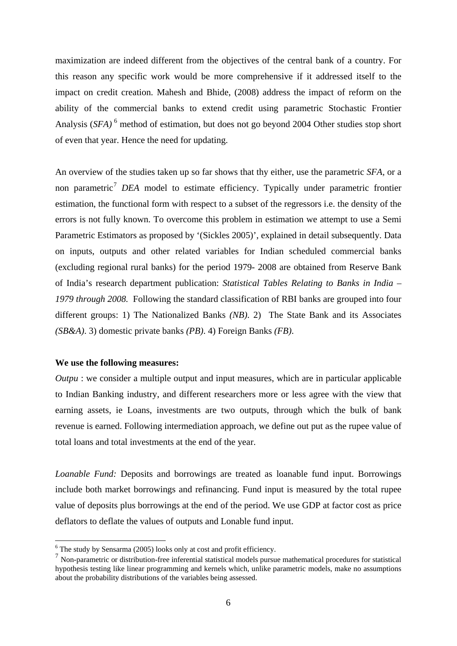maximization are indeed different from the objectives of the central bank of a country. For this reason any specific work would be more comprehensive if it addressed itself to the impact on credit creation. Mahesh and Bhide, (2008) address the impact of reform on the ability of the commercial banks to extend credit using parametric Stochastic Frontier Analysis (*SFA*)<sup>[6](#page-7-0)</sup> method of estimation, but does not go beyond 2004 Other studies stop short of even that year. Hence the need for updating.

An overview of the studies taken up so far shows that thy either, use the parametric *SFA,* or a non parametric [7](#page-7-1) *DEA* model to estimate efficiency. Typically under parametric frontier estimation, the functional form with respect to a subset of the regressors i.e. the density of the errors is not fully known. To overcome this problem in estimation we attempt to use a Semi Parametric Estimators as proposed by '(Sickles 2005)', explained in detail subsequently. Data on inputs, outputs and other related variables for Indian scheduled commercial banks (excluding regional rural banks) for the period 1979- 2008 are obtained from Reserve Bank of India's research department publication: *Statistical Tables Relating to Banks in India – 1979 through 2008.* Following the standard classification of RBI banks are grouped into four different groups: 1) The Nationalized Banks *(NB)*. 2) The State Bank and its Associates *(SB&A)*. 3) domestic private banks *(PB)*. 4) Foreign Banks *(FB)*.

#### **We use the following measures:**

*Outpu* : we consider a multiple output and input measures, which are in particular applicable to Indian Banking industry, and different researchers more or less agree with the view that earning assets, ie Loans, investments are two outputs, through which the bulk of bank revenue is earned. Following intermediation approach, we define out put as the rupee value of total loans and total investments at the end of the year.

*Loanable Fund:* Deposits and borrowings are treated as loanable fund input. Borrowings include both market borrowings and refinancing. Fund input is measured by the total rupee value of deposits plus borrowings at the end of the period. We use GDP at factor cost as price deflators to deflate the values of outputs and Lonable fund input.

<span id="page-7-1"></span>

<span id="page-7-0"></span><sup>&</sup>lt;sup>6</sup> The study by Sensarma (2005) looks only at cost and profit efficiency.<br><sup>7</sup> Non-parametric or distribution-free inferential statistical models pursue mathematical procedures for statistical hypothesis testing like linear programming and kernels which, unlike parametric models, make no assumptions about the probability distributions of the variables being assessed.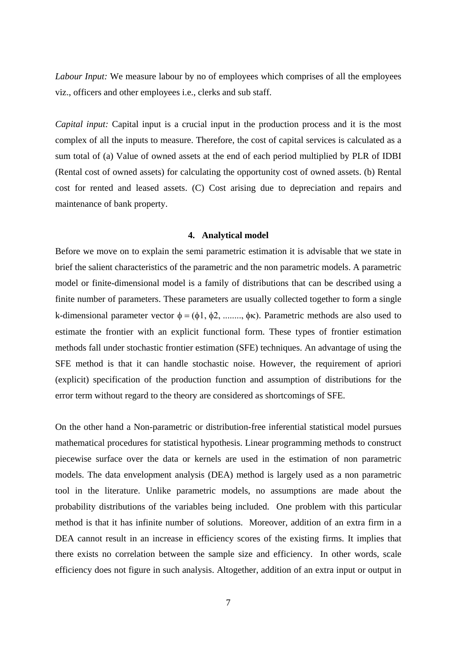*Labour Input:* We measure labour by no of employees which comprises of all the employees viz., officers and other employees i.e., clerks and sub staff.

*Capital input:* Capital input is a crucial input in the production process and it is the most complex of all the inputs to measure. Therefore, the cost of capital services is calculated as a sum total of (a) Value of owned assets at the end of each period multiplied by PLR of IDBI (Rental cost of owned assets) for calculating the opportunity cost of owned assets. (b) Rental cost for rented and leased assets. (C) Cost arising due to depreciation and repairs and maintenance of bank property.

#### **4. Analytical model**

Before we move on to explain the semi parametric estimation it is advisable that we state in brief the salient characteristics of the parametric and the non parametric models. A parametric model or finite-dimensional model is a family of distributions that can be described using a finite number of parameters. These parameters are usually collected together to form a single k-dimensional parameter vector  $\phi = (\phi_1, \phi_2, \dots, \phi_K)$ . Parametric methods are also used to estimate the frontier with an explicit functional form. These types of frontier estimation methods fall under stochastic frontier estimation (SFE) techniques. An advantage of using the SFE method is that it can handle stochastic noise. However, the requirement of apriori (explicit) specification of the production function and assumption of distributions for the error term without regard to the theory are considered as shortcomings of SFE.

On the other hand a Non-parametric or distribution-free inferential statistical model pursues mathematical procedures for statistical hypothesis. Linear programming methods to construct piecewise surface over the data or kernels are used in the estimation of non parametric models. The data envelopment analysis (DEA) method is largely used as a non parametric tool in the literature. Unlike parametric models, no assumptions are made about the probability distributions of the variables being included. One problem with this particular method is that it has infinite number of solutions. Moreover, addition of an extra firm in a DEA cannot result in an increase in efficiency scores of the existing firms. It implies that there exists no correlation between the sample size and efficiency. In other words, scale efficiency does not figure in such analysis. Altogether, addition of an extra input or output in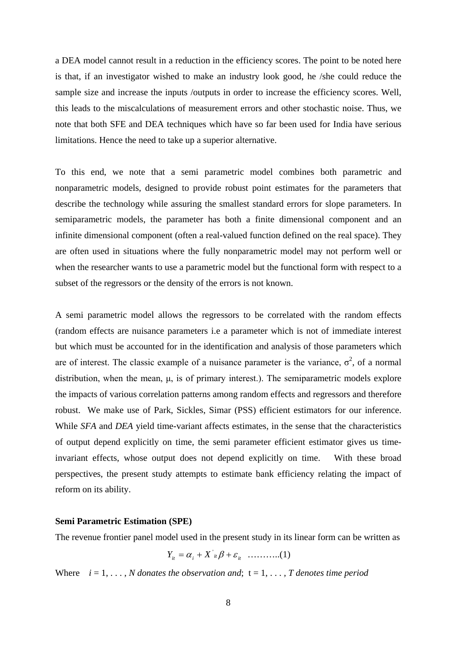a DEA model cannot result in a reduction in the efficiency scores. The point to be noted here is that, if an investigator wished to make an industry look good, he /she could reduce the sample size and increase the inputs /outputs in order to increase the efficiency scores. Well, this leads to the miscalculations of measurement errors and other stochastic noise. Thus, we note that both SFE and DEA techniques which have so far been used for India have serious limitations. Hence the need to take up a superior alternative.

To this end, we note that a semi parametric model combines both parametric and nonparametric models, designed to provide robust point estimates for the parameters that describe the technology while assuring the smallest standard errors for slope parameters. In semiparametric models, the parameter has both a finite dimensional component and an infinite dimensional component (often a real-valued function defined on the real space). They are often used in situations where the fully nonparametric model may not perform well or when the researcher wants to use a parametric model but the functional form with respect to a subset of the regressors or the density of the errors is not known.

A semi parametric model allows the regressors to be correlated with the random effects (random effects are nuisance parameters i.e a parameter which is not of immediate interest but which must be accounted for in the identification and analysis of those parameters which are of interest. The classic example of a nuisance parameter is the variance,  $\sigma^2$ , of a normal distribution, when the mean,  $\mu$ , is of primary interest.). The semiparametric models explore the impacts of various correlation patterns among random effects and regressors and therefore robust. We make use of Park, Sickles, Simar (PSS) efficient estimators for our inference. While *SFA* and *DEA* yield time-variant affects estimates, in the sense that the characteristics of output depend explicitly on time, the semi parameter efficient estimator gives us timeinvariant effects, whose output does not depend explicitly on time. With these broad perspectives, the present study attempts to estimate bank efficiency relating the impact of reform on its ability.

#### **Semi Parametric Estimation (SPE)**

The revenue frontier panel model used in the present study in its linear form can be written as

$$
Y_{it} = \alpha_i + X_{it} \beta + \varepsilon_{it} \quad \dots \dots \dots \dots (1)
$$

Where  $i = 1, \ldots, N$  *donates the observation and*;  $t = 1, \ldots, T$  *denotes time period*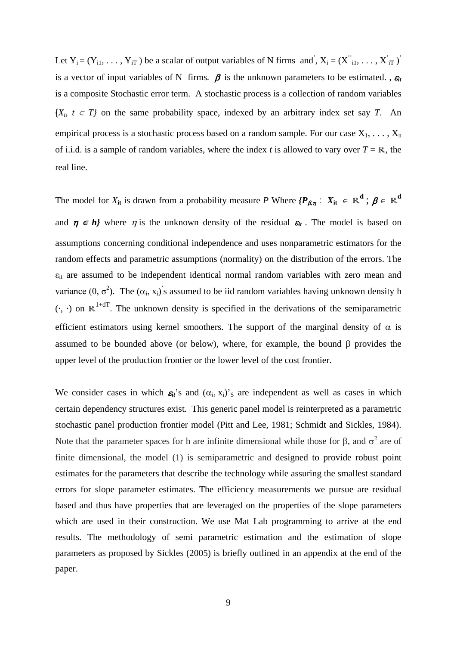Let  $Y_i = (Y_{i1}, \ldots, Y_{iT})$  be a scalar of output variables of N firms and',  $X_i = (X_{i1}^{\prime}, \ldots, X_{iT}^{\prime})$ is a vector of input variables of N firms.  $\beta$  is the unknown parameters to be estimated.,  $\varepsilon$ <sub>*it*</sub> is a composite Stochastic error term. A stochastic process is a collection of random variables  ${X_t, t \in T}$  on the same probability space, indexed by an arbitrary index set say *T*. An empirical process is a stochastic process based on a random sample. For our case  $X_1, \ldots, X_n$ of i.i.d. is a sample of random variables, where the index *t* is allowed to vary over  $T = \mathbb{R}$ , the real line.

The model for  $X_{it}$  is drawn from a probability measure *P* Where  ${P_{\beta,\eta}}: X_{it} \in \mathbb{R}^d$ ;  $\beta \in \mathbb{R}^d$ and  $\eta \in h$ *}* where  $\eta$  is the unknown density of the residual  $\varepsilon_{it}$ . The model is based on assumptions concerning conditional independence and uses nonparametric estimators for the random effects and parametric assumptions (normality) on the distribution of the errors. The  $\varepsilon_{it}$  are assumed to be independent identical normal random variables with zero mean and variance  $(0, \sigma^2)$ . The  $(\alpha_i, x_i)$ 's assumed to be iid random variables having unknown density h  $(\cdot, \cdot)$  on  $\mathbb{R}^{1+dT}$ . The unknown density is specified in the derivations of the semiparametric efficient estimators using kernel smoothers. The support of the marginal density of  $\alpha$  is assumed to be bounded above (or below), where, for example, the bound β provides the upper level of the production frontier or the lower level of the cost frontier.

We consider cases in which  $\varepsilon_{it}$ 's and  $(\alpha_i, x_i)'$ <sub>S</sub> are independent as well as cases in which certain dependency structures exist. This generic panel model is reinterpreted as a parametric stochastic panel production frontier model (Pitt and Lee, 1981; Schmidt and Sickles, 1984). Note that the parameter spaces for h are infinite dimensional while those for  $\beta$ , and  $\sigma^2$  are of finite dimensional, the model (1) is semiparametric and designed to provide robust point estimates for the parameters that describe the technology while assuring the smallest standard errors for slope parameter estimates. The efficiency measurements we pursue are residual based and thus have properties that are leveraged on the properties of the slope parameters which are used in their construction. We use Mat Lab programming to arrive at the end results. The methodology of semi parametric estimation and the estimation of slope parameters as proposed by Sickles (2005) is briefly outlined in an appendix at the end of the paper.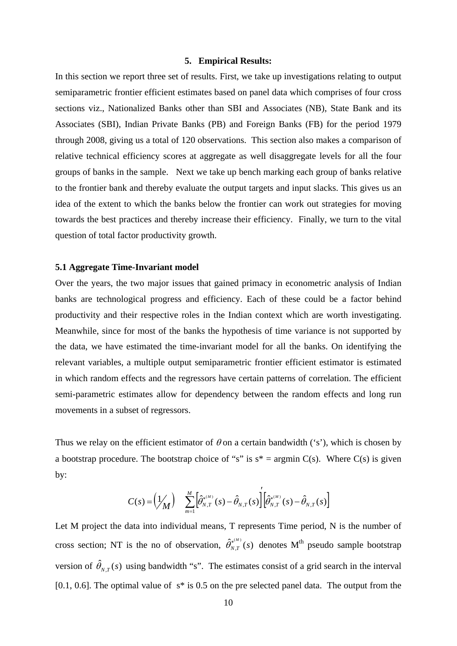#### **5. Empirical Results:**

In this section we report three set of results. First, we take up investigations relating to output semiparametric frontier efficient estimates based on panel data which comprises of four cross sections viz., Nationalized Banks other than SBI and Associates (NB), State Bank and its Associates (SBI), Indian Private Banks (PB) and Foreign Banks (FB) for the period 1979 through 2008, giving us a total of 120 observations. This section also makes a comparison of relative technical efficiency scores at aggregate as well disaggregate levels for all the four groups of banks in the sample. Next we take up bench marking each group of banks relative to the frontier bank and thereby evaluate the output targets and input slacks. This gives us an idea of the extent to which the banks below the frontier can work out strategies for moving towards the best practices and thereby increase their efficiency. Finally, we turn to the vital question of total factor productivity growth.

#### **5.1 Aggregate Time-Invariant model**

Over the years, the two major issues that gained primacy in econometric analysis of Indian banks are technological progress and efficiency. Each of these could be a factor behind productivity and their respective roles in the Indian context which are worth investigating. Meanwhile, since for most of the banks the hypothesis of time variance is not supported by the data, we have estimated the time-invariant model for all the banks. On identifying the relevant variables, a multiple output semiparametric frontier efficient estimator is estimated in which random effects and the regressors have certain patterns of correlation. The efficient semi-parametric estimates allow for dependency between the random effects and long run movements in a subset of regressors.

Thus we relay on the efficient estimator of  $\theta$  on a certain bandwidth ('s'), which is chosen by a bootstrap procedure. The bootstrap choice of "s" is  $s^* = \text{argmin } C(s)$ . Where  $C(s)$  is given by:

$$
C(s) = \left(\frac{1}{M}\right) \sum_{m=1}^{M} \left[\hat{\theta}_{N,T}^{*(M)}(s) - \hat{\theta}_{N,T}(s)\right] \left[\hat{\theta}_{N,T}^{*(M)}(s) - \hat{\theta}_{N,T}(s)\right]
$$

′

Let M project the data into individual means, T represents Time period, N is the number of cross section; NT is the no of observation,  $\hat{\theta}_{N,T}^{*(M)}(s)$  denotes M<sup>th</sup> pseudo sample bootstrap version of  $\hat{\theta}_{NT}(s)$  using bandwidth "s". The estimates consist of a grid search in the interval [0.1, 0.6]. The optimal value of  $s^*$  is 0.5 on the pre selected panel data. The output from the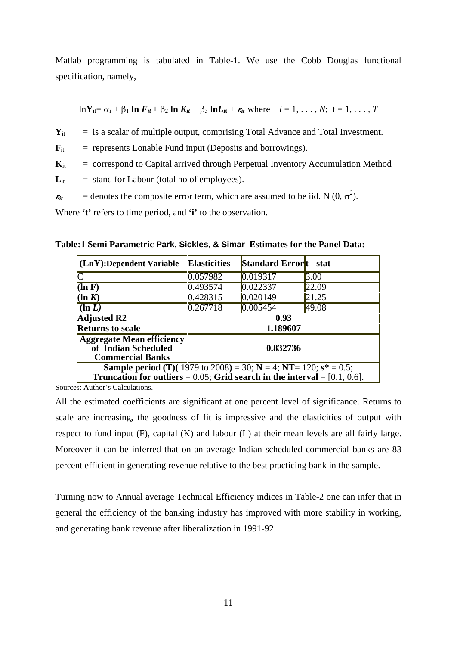Matlab programming is tabulated in Table-1. We use the Cobb Douglas functional specification, namely,

$$
\ln Y_{it} = \alpha_i + \beta_1 \ln F_{it} + \beta_2 \ln K_{it} + \beta_3 \ln L_{it} + \varepsilon_{it} \text{ where } i = 1, ..., N; t = 1, ..., T
$$

 $Y_{it}$  = is a scalar of multiple output, comprising Total Advance and Total Investment.

 $\mathbf{F}_{it}$  = represents Lonable Fund input (Deposits and borrowings).

 $\mathbf{K}_{it}$  = correspond to Capital arrived through Perpetual Inventory Accumulation Method

 $L_{it}$  = stand for Labour (total no of employees).

 $\varepsilon_{it}$  = denotes the composite error term, which are assumed to be iid. N (0,  $\sigma^2$ ).

Where **'t'** refers to time period, and **'i'** to the observation.

**Table:1 Semi Parametric Park, Sickles, & Simar Estimates for the Panel Data:**

| $(LnY):$ Dependent Variable                                                                                                                                           | <b>Elasticities</b> | Standard Error <sub>t</sub> - stat |       |  |
|-----------------------------------------------------------------------------------------------------------------------------------------------------------------------|---------------------|------------------------------------|-------|--|
| $\overline{\mathsf{C}}$                                                                                                                                               | 0.057982            | 0.019317                           | 3.00  |  |
| $(\ln F)$                                                                                                                                                             | 0.493574            | 0.022337                           | 22.09 |  |
| $(\ln K)$                                                                                                                                                             | 0.428315            | 0.020149                           | 21.25 |  |
| $(\ln L)$                                                                                                                                                             | 0.267718            | 0.005454                           | 49.08 |  |
| <b>Adjusted R2</b>                                                                                                                                                    | 0.93                |                                    |       |  |
| <b>Returns to scale</b>                                                                                                                                               | 1.189607            |                                    |       |  |
| <b>Aggregate Mean efficiency</b><br>of Indian Scheduled<br><b>Commercial Banks</b>                                                                                    | 0.832736            |                                    |       |  |
| <b>Sample period (T)(</b> 1979 to 2008) = 30; $N = 4$ ; $NT = 120$ ; $s^* = 0.5$ ;<br>Truncation for outliers = $0.05$ ; Grid search in the interval = $[0.1, 0.6]$ . |                     |                                    |       |  |

Sources: Author's Calculations.

All the estimated coefficients are significant at one percent level of significance. Returns to scale are increasing, the goodness of fit is impressive and the elasticities of output with respect to fund input (F), capital (K) and labour (L) at their mean levels are all fairly large. Moreover it can be inferred that on an average Indian scheduled commercial banks are 83 percent efficient in generating revenue relative to the best practicing bank in the sample.

Turning now to Annual average Technical Efficiency indices in Table-2 one can infer that in general the efficiency of the banking industry has improved with more stability in working, and generating bank revenue after liberalization in 1991-92.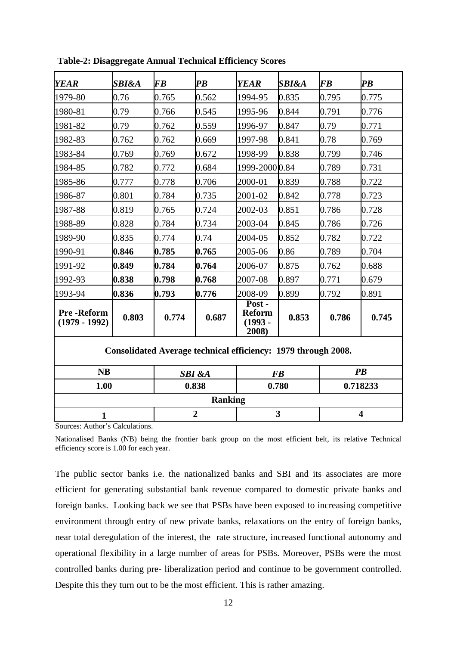| <b>YEAR</b>                                                   | <b>SBI&amp;A</b> | <b>FB</b> | $\overline{PB}$ | <b>YEAR</b>                                   | <b>SBI&amp;A</b>        | <b>FB</b> | $\overline{PB}$ |  |
|---------------------------------------------------------------|------------------|-----------|-----------------|-----------------------------------------------|-------------------------|-----------|-----------------|--|
| 1979-80                                                       | 0.76             | 0.765     | 0.562           | 1994-95                                       | 0.835                   | 0.795     | 0.775           |  |
| 1980-81                                                       | 0.79             | 0.766     | 0.545           | 1995-96                                       | 0.844                   | 0.791     | 0.776           |  |
| 1981-82                                                       | 0.79             | 0.762     | 0.559           | 1996-97                                       | 0.847                   | 0.79      | 0.771           |  |
| 1982-83                                                       | 0.762            | 0.762     | 0.669           | 1997-98                                       | 0.841                   | 0.78      | 0.769           |  |
| 1983-84                                                       | 0.769            | 0.769     | 0.672           | 1998-99                                       | 0.838                   | 0.799     | 0.746           |  |
| 1984-85                                                       | 0.782            | 0.772     | 0.684           | 1999-2000 0.84                                |                         | 0.789     | 0.731           |  |
| 1985-86                                                       | 0.777            | 0.778     | 0.706           | 2000-01                                       | 0.839                   | 0.788     | 0.722           |  |
| 1986-87                                                       | 0.801            | 0.784     | 0.735           | 2001-02                                       | 0.842                   | 0.778     | 0.723           |  |
| 1987-88                                                       | 0.819            | 0.765     | 0.724           | 2002-03                                       | 0.851                   | 0.786     | 0.728           |  |
| 1988-89                                                       | 0.828            | 0.784     | 0.734           | 2003-04                                       | 0.845                   | 0.786     | 0.726           |  |
| 1989-90                                                       | 0.835            | 0.774     | 0.74            | 2004-05                                       | 0.852                   | 0.782     | 0.722           |  |
| 1990-91                                                       | 0.846            | 0.785     | 0.765           | 2005-06                                       | 0.86                    | 0.789     | 0.704           |  |
| 1991-92                                                       | 0.849            | 0.784     | 0.764           | 2006-07                                       | 0.875                   | 0.762     | 0.688           |  |
| 1992-93                                                       | 0.838            | 0.798     | 0.768           | 2007-08                                       | 0.897                   | 0.771     | 0.679           |  |
| 1993-94                                                       | 0.836            | 0.793     | 0.776           | 2008-09                                       | 0.899                   | 0.792     | 0.891           |  |
| <b>Pre-Reform</b><br>$(1979 - 1992)$                          | 0.803            | 0.774     | 0.687           | Post -<br><b>Reform</b><br>$(1993 -$<br>2008) | 0.853                   | 0.786     | 0.745           |  |
| Consolidated Average technical efficiency: 1979 through 2008. |                  |           |                 |                                               |                         |           |                 |  |
| <b>NB</b><br><b>SBI</b> &A                                    |                  |           | <b>FB</b>       |                                               | $\overline{PB}$         |           |                 |  |
| 1.00                                                          |                  |           | 0.838           | 0.780                                         |                         |           | 0.718233        |  |
| <b>Ranking</b>                                                |                  |           |                 |                                               |                         |           |                 |  |
| $\overline{2}$<br>1<br>$\sim$ 1<br>$\mathbf{1}$               |                  |           | 3               |                                               | $\overline{\mathbf{4}}$ |           |                 |  |

**Table-2: Disaggregate Annual Technical Efficiency Scores**

Sources: Author's Calculations.

Nationalised Banks (NB) being the frontier bank group on the most efficient belt, its relative Technical efficiency score is 1.00 for each year.

The public sector banks i.e. the nationalized banks and SBI and its associates are more efficient for generating substantial bank revenue compared to domestic private banks and foreign banks. Looking back we see that PSBs have been exposed to increasing competitive environment through entry of new private banks, relaxations on the entry of foreign banks, near total deregulation of the interest, the rate structure, increased functional autonomy and operational flexibility in a large number of areas for PSBs. Moreover, PSBs were the most controlled banks during pre- liberalization period and continue to be government controlled. Despite this they turn out to be the most efficient. This is rather amazing.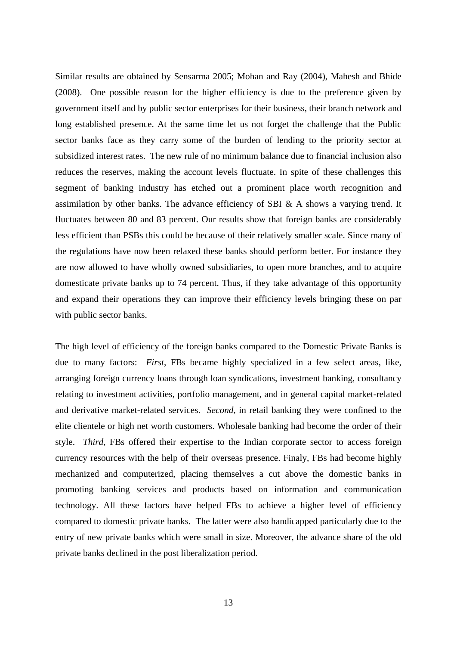Similar results are obtained by Sensarma 2005; Mohan and Ray (2004), Mahesh and Bhide (2008). One possible reason for the higher efficiency is due to the preference given by government itself and by public sector enterprises for their business, their branch network and long established presence. At the same time let us not forget the challenge that the Public sector banks face as they carry some of the burden of lending to the priority sector at subsidized interest rates. The new rule of no minimum balance due to financial inclusion also reduces the reserves, making the account levels fluctuate. In spite of these challenges this segment of banking industry has etched out a prominent place worth recognition and assimilation by other banks. The advance efficiency of SBI & A shows a varying trend. It fluctuates between 80 and 83 percent. Our results show that foreign banks are considerably less efficient than PSBs this could be because of their relatively smaller scale. Since many of the regulations have now been relaxed these banks should perform better. For instance they are now allowed to have wholly owned subsidiaries, to open more branches, and to acquire domesticate private banks up to 74 percent. Thus, if they take advantage of this opportunity and expand their operations they can improve their efficiency levels bringing these on par with public sector banks.

The high level of efficiency of the foreign banks compared to the Domestic Private Banks is due to many factors: *First*, FBs became highly specialized in a few select areas, like, arranging foreign currency loans through loan syndications, investment banking, consultancy relating to investment activities, portfolio management, and in general capital market-related and derivative market-related services. *Second*, in retail banking they were confined to the elite clientele or high net worth customers. Wholesale banking had become the order of their style. *Third*, FBs offered their expertise to the Indian corporate sector to access foreign currency resources with the help of their overseas presence. Finaly, FBs had become highly mechanized and computerized, placing themselves a cut above the domestic banks in promoting banking services and products based on information and communication technology. All these factors have helped FBs to achieve a higher level of efficiency compared to domestic private banks. The latter were also handicapped particularly due to the entry of new private banks which were small in size. Moreover, the advance share of the old private banks declined in the post liberalization period.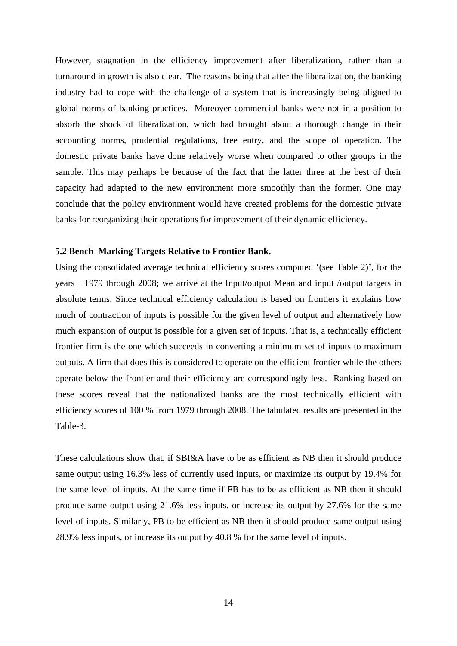However, stagnation in the efficiency improvement after liberalization, rather than a turnaround in growth is also clear. The reasons being that after the liberalization, the banking industry had to cope with the challenge of a system that is increasingly being aligned to global norms of banking practices. Moreover commercial banks were not in a position to absorb the shock of liberalization, which had brought about a thorough change in their accounting norms, prudential regulations, free entry, and the scope of operation. The domestic private banks have done relatively worse when compared to other groups in the sample. This may perhaps be because of the fact that the latter three at the best of their capacity had adapted to the new environment more smoothly than the former. One may conclude that the policy environment would have created problems for the domestic private banks for reorganizing their operations for improvement of their dynamic efficiency.

#### **5.2 Bench Marking Targets Relative to Frontier Bank.**

Using the consolidated average technical efficiency scores computed '(see Table 2)', for the years 1979 through 2008; we arrive at the Input/output Mean and input /output targets in absolute terms. Since technical efficiency calculation is based on frontiers it explains how much of contraction of inputs is possible for the given level of output and alternatively how much expansion of output is possible for a given set of inputs. That is, a technically efficient frontier firm is the one which succeeds in converting a minimum set of inputs to maximum outputs. A firm that does this is considered to operate on the efficient frontier while the others operate below the frontier and their efficiency are correspondingly less. Ranking based on these scores reveal that the nationalized banks are the most technically efficient with efficiency scores of 100 % from 1979 through 2008. The tabulated results are presented in the Table-3.

These calculations show that, if SBI&A have to be as efficient as NB then it should produce same output using 16.3% less of currently used inputs, or maximize its output by 19.4% for the same level of inputs. At the same time if FB has to be as efficient as NB then it should produce same output using 21.6% less inputs, or increase its output by 27.6% for the same level of inputs. Similarly, PB to be efficient as NB then it should produce same output using 28.9% less inputs, or increase its output by 40.8 % for the same level of inputs.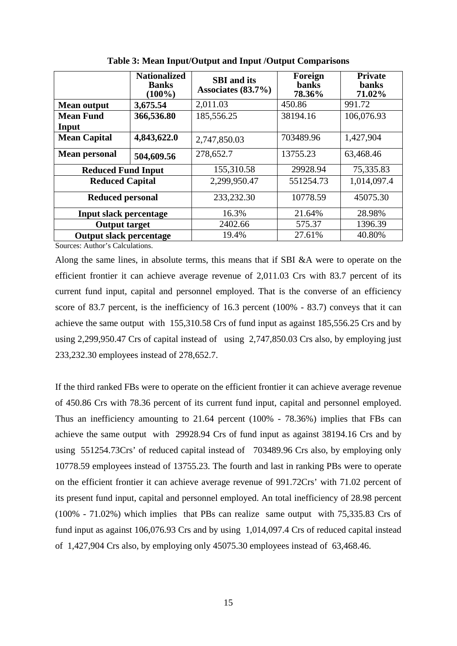|                                | <b>Nationalized</b><br><b>Banks</b><br>$(100\%)$ | <b>SBI</b> and its<br>Associates $(83.7\%)$ | Foreign<br><b>banks</b><br>78.36% | <b>Private</b><br><b>banks</b><br>71.02% |
|--------------------------------|--------------------------------------------------|---------------------------------------------|-----------------------------------|------------------------------------------|
| <b>Mean output</b>             | 3,675.54                                         | 2,011.03                                    | 450.86                            | 991.72                                   |
| <b>Mean Fund</b>               | 366,536.80                                       | 185,556.25                                  | 38194.16                          | 106,076.93                               |
| Input                          |                                                  |                                             |                                   |                                          |
| <b>Mean Capital</b>            | 4,843,622.0                                      | 2,747,850.03                                | 703489.96                         | 1,427,904                                |
| <b>Mean personal</b>           | 504,609.56                                       | 278,652.7                                   | 13755.23                          | 63,468.46                                |
| <b>Reduced Fund Input</b>      |                                                  | 155,310.58                                  | 29928.94                          | 75,335.83                                |
| <b>Reduced Capital</b>         |                                                  | 2,299,950.47                                | 551254.73                         | 1,014,097.4                              |
| <b>Reduced personal</b>        |                                                  | 233,232.30                                  | 10778.59                          | 45075.30                                 |
| <b>Input slack percentage</b>  |                                                  | 16.3%                                       | 21.64%                            | 28.98%                                   |
| <b>Output target</b>           |                                                  | 2402.66                                     | 575.37                            | 1396.39                                  |
| <b>Output slack percentage</b> |                                                  | 19.4%                                       | 27.61%                            | 40.80%                                   |

**Table 3: Mean Input/Output and Input /Output Comparisons**

Sources: Author's Calculations.

Along the same lines, in absolute terms, this means that if SBI &A were to operate on the efficient frontier it can achieve average revenue of 2,011.03 Crs with 83.7 percent of its current fund input, capital and personnel employed. That is the converse of an efficiency score of 83.7 percent, is the inefficiency of 16.3 percent (100% - 83.7) conveys that it can achieve the same output with 155,310.58 Crs of fund input as against 185,556.25 Crs and by using 2,299,950.47 Crs of capital instead of using 2,747,850.03 Crs also, by employing just 233,232.30 employees instead of 278,652.7.

If the third ranked FBs were to operate on the efficient frontier it can achieve average revenue of 450.86 Crs with 78.36 percent of its current fund input, capital and personnel employed. Thus an inefficiency amounting to 21.64 percent (100% - 78.36%) implies that FBs can achieve the same output with 29928.94 Crs of fund input as against 38194.16 Crs and by using 551254.73Crs' of reduced capital instead of 703489.96 Crs also, by employing only 10778.59 employees instead of 13755.23. The fourth and last in ranking PBs were to operate on the efficient frontier it can achieve average revenue of 991.72Crs' with 71.02 percent of its present fund input, capital and personnel employed. An total inefficiency of 28.98 percent (100% - 71.02%) which implies that PBs can realize same output with 75,335.83 Crs of fund input as against 106,076.93 Crs and by using 1,014,097.4 Crs of reduced capital instead of 1,427,904 Crs also, by employing only 45075.30 employees instead of 63,468.46.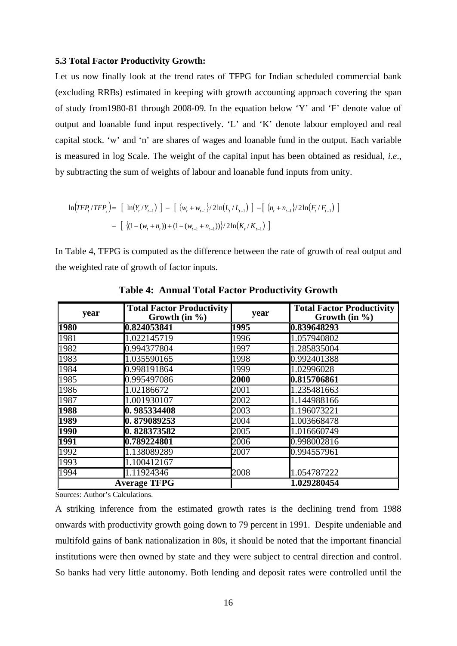#### **5.3 Total Factor Productivity Growth:**

Let us now finally look at the trend rates of TFPG for Indian scheduled commercial bank (excluding RRBs) estimated in keeping with growth accounting approach covering the span of study from1980-81 through 2008-09. In the equation below 'Y' and 'F' denote value of output and loanable fund input respectively. 'L' and 'K' denote labour employed and real capital stock. 'w' and 'n' are shares of wages and loanable fund in the output. Each variable is measured in log Scale. The weight of the capital input has been obtained as residual, *i.e*., by subtracting the sum of weights of labour and loanable fund inputs from unity.

$$
\ln(TFP_t/TFP) = \left[ \ln(Y_t/Y_{t-1}) \right] - \left[ \{w_t + w_{t-1}\}/2\ln(L_t/L_{t-1}) \right] - \left[ \{n_t + n_{t-1}\}/2\ln(F_t/F_{t-1}) \right] - \left[ \{(1 - (w_t + n_t)) + (1 - (w_{t-1} + n_{t-1}))\}/2\ln(K_t/K_{t-1}) \right]
$$

In Table 4, TFPG is computed as the difference between the rate of growth of real output and the weighted rate of growth of factor inputs.

| year | <b>Total Factor Productivity</b><br>Growth (in $\%$ ) | year | <b>Total Factor Productivity</b><br>Growth (in $\%$ ) |
|------|-------------------------------------------------------|------|-------------------------------------------------------|
| 1980 | 0.824053841                                           | 1995 | 0.839648293                                           |
| 1981 | 1.022145719                                           | 1996 | 1.057940802                                           |
| 1982 | 0.994377804                                           | 1997 | 1.285835004                                           |
| 1983 | 1.035590165                                           | 1998 | 0.992401388                                           |
| 1984 | 0.998191864                                           | 1999 | 1.02996028                                            |
| 1985 | 0.995497086                                           | 2000 | 0.815706861                                           |
| 1986 | 1.02186672                                            | 2001 | 1.235481663                                           |
| 1987 | 1.001930107                                           | 2002 | 1.144988166                                           |
| 1988 | 0.985334408                                           | 2003 | 1.196073221                                           |
| 1989 | 0.879089253                                           | 2004 | 1.003668478                                           |
| 1990 | 0.828373582                                           | 2005 | 1.016660749                                           |
| 1991 | 0.789224801                                           | 2006 | 0.998002816                                           |
| 1992 | 1.138089289                                           | 2007 | 0.994557961                                           |
| 1993 | 1.100412167                                           |      |                                                       |
| 1994 | 1.11924346                                            | 2008 | 1.054787222                                           |
|      | <b>Average TFPG</b>                                   |      | 1.029280454                                           |

**Table 4: Annual Total Factor Productivity Growth**

Sources: Author's Calculations.

A striking inference from the estimated growth rates is the declining trend from 1988 onwards with productivity growth going down to 79 percent in 1991. Despite undeniable and multifold gains of bank nationalization in 80s, it should be noted that the important financial institutions were then owned by state and they were subject to central direction and control. So banks had very little autonomy. Both lending and deposit rates were controlled until the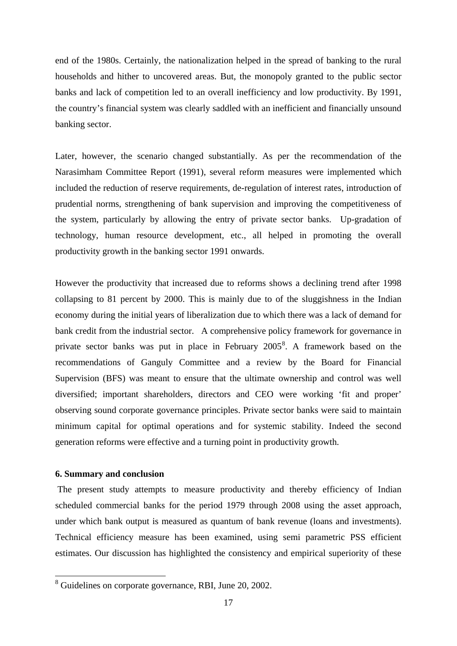end of the 1980s. Certainly, the nationalization helped in the spread of banking to the rural households and hither to uncovered areas. But, the monopoly granted to the public sector banks and lack of competition led to an overall inefficiency and low productivity. By 1991, the country's financial system was clearly saddled with an inefficient and financially unsound banking sector.

Later, however, the scenario changed substantially. As per the recommendation of the Narasimham Committee Report (1991), several reform measures were implemented which included the reduction of reserve requirements, de-regulation of interest rates, introduction of prudential norms, strengthening of bank supervision and improving the competitiveness of the system, particularly by allowing the entry of private sector banks. Up-gradation of technology, human resource development, etc., all helped in promoting the overall productivity growth in the banking sector 1991 onwards.

However the productivity that increased due to reforms shows a declining trend after 1998 collapsing to 81 percent by 2000. This is mainly due to of the sluggishness in the Indian economy during the initial years of liberalization due to which there was a lack of demand for bank credit from the industrial sector. A comprehensive policy framework for governance in private sector banks was put in place in February 2005<sup>[8](#page-18-0)</sup>. A framework based on the recommendations of Ganguly Committee and a review by the Board for Financial Supervision (BFS) was meant to ensure that the ultimate ownership and control was well diversified; important shareholders, directors and CEO were working 'fit and proper' observing sound corporate governance principles. Private sector banks were said to maintain minimum capital for optimal operations and for systemic stability. Indeed the second generation reforms were effective and a turning point in productivity growth.

#### **6. Summary and conclusion**

The present study attempts to measure productivity and thereby efficiency of Indian scheduled commercial banks for the period 1979 through 2008 using the asset approach, under which bank output is measured as quantum of bank revenue (loans and investments). Technical efficiency measure has been examined, using semi parametric PSS efficient estimates. Our discussion has highlighted the consistency and empirical superiority of these

<span id="page-18-0"></span> <sup>8</sup> Guidelines on corporate governance, RBI, June 20, 2002.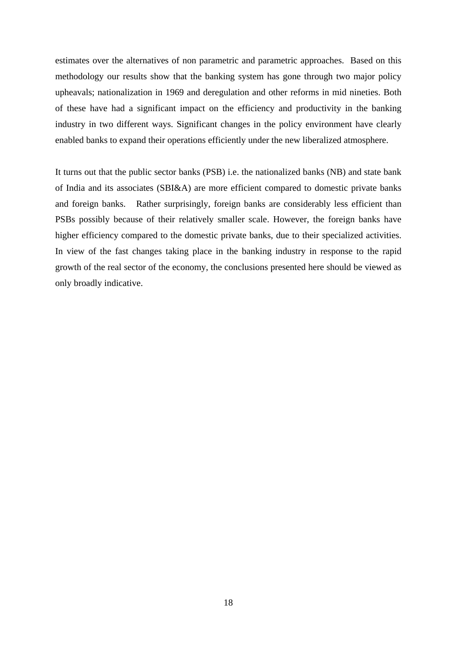estimates over the alternatives of non parametric and parametric approaches. Based on this methodology our results show that the banking system has gone through two major policy upheavals; nationalization in 1969 and deregulation and other reforms in mid nineties. Both of these have had a significant impact on the efficiency and productivity in the banking industry in two different ways. Significant changes in the policy environment have clearly enabled banks to expand their operations efficiently under the new liberalized atmosphere.

It turns out that the public sector banks (PSB) i.e. the nationalized banks (NB) and state bank of India and its associates (SBI&A) are more efficient compared to domestic private banks and foreign banks. Rather surprisingly, foreign banks are considerably less efficient than PSBs possibly because of their relatively smaller scale. However, the foreign banks have higher efficiency compared to the domestic private banks, due to their specialized activities. In view of the fast changes taking place in the banking industry in response to the rapid growth of the real sector of the economy, the conclusions presented here should be viewed as only broadly indicative.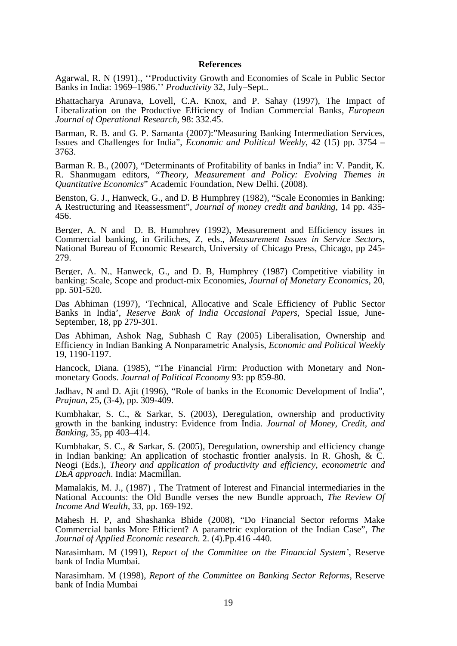#### **References**

Agarwal, R. N (1991)., ''Productivity Growth and Economies of Scale in Public Sector Banks in India: 1969–1986.'' *Productivity* 32, July–Sept..

Bhattacharya Arunava, Lovell, C.A. Knox, and P. Sahay (1997), The Impact of Liberalization on the Productive Efficiency of Indian Commercial Banks, *European Journal of Operational Research*, 98: 332.45.

Barman, R. B. and G. P. Samanta (2007):"Measuring Banking Intermediation Services, Issues and Challenges for India", *Economic and Political Weekly*, 42 (15) pp. 3754 – 3763.

Barman R. B., (2007), "Determinants of Profitability of banks in India" in: V. Pandit, K. R. Shanmugam editors, "*Theory, Measurement and Policy: Evolving Themes in Quantitative Economics*" Academic Foundation, New Delhi. (2008).

Benston, G. J., Hanweck, G., and D. B Humphrey (1982), "Scale Economies in Banking: A Restructuring and Reassessment", *Journal of money credit and banking*, 14 pp. 435- 456.

Berger, A. N and D. B, Humphrey (1992), Measurement and Efficiency issues in Commercial banking, in Griliches, Z, eds., *Measurement Issues in Service Sectors*, National Bureau of Economic Research, University of Chicago Press, Chicago, pp 245-279.

Berger, A. N., Hanweck, G., and D. B, Humphrey (1987) Competitive viability in banking: Scale, Scope and product-mix Economies, *Journal of Monetary Economics*, 20, pp. 501-520.

Das Abhiman (1997), 'Technical, Allocative and Scale Efficiency of Public Sector Banks in India', *Reserve Bank of India Occasional Papers*, Special Issue, June-September, 18, pp 279-301.

Das Abhiman, Ashok Nag, Subhash C Ray (2005) Liberalisation, Ownership and Efficiency in Indian Banking A Nonparametric Analysis, *Economic and Political Weekly* 19, 1190-1197.

Hancock, Diana. (1985), "The Financial Firm: Production with Monetary and Nonmonetary Goods. *Journal of Political Economy* 93: pp 859-80.

Jadhav, N and D. Ajit (1996), "Role of banks in the Economic Development of India", *Prajnan*, 25, (3-4), pp. 309-409.

Kumbhakar, S. C., & Sarkar, S. (2003), Deregulation, ownership and productivity growth in the banking industry: Evidence from India. *Journal of Money, Credit, and Banking*, 35, pp 403–414.

Kumbhakar, S. C., & Sarkar, S. (2005), Deregulation, ownership and efficiency change in Indian banking: An application of stochastic frontier analysis. In R. Ghosh,  $\& \overline{C}$ . Neogi (Eds.), *Theory and application of productivity and efficiency, econometric and DEA approach*. India: Macmillan.

Mamalakis, M. J., (1987) , The Tratment of Interest and Financial intermediaries in the National Accounts: the Old Bundle verses the new Bundle approach, *The Review Of Income And Wealth*, 33, pp. 169-192.

Mahesh H. P, and Shashanka Bhide (2008), "Do Financial Sector reforms Make Commercial banks More Efficient? A parametric exploration of the Indian Case", *The Journal of Applied Economic research.* 2. (4).Pp.416 -440.

Narasimham. M (1991), *Report of the Committee on the Financial System'*, Reserve bank of India Mumbai.

Narasimham. M (1998), *Report of the Committee on Banking Sector Reforms*, Reserve bank of India Mumbai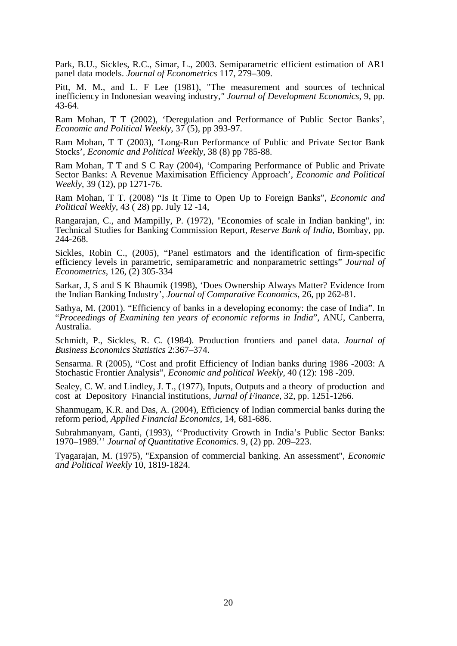Park, B.U., Sickles, R.C., Simar, L., 2003. Semiparametric efficient estimation of AR1 panel data models. *Journal of Econometrics* 117, 279–309.

Pitt, M. M., and L. F Lee (1981), "The measurement and sources of technical inefficiency in Indonesian weaving industry*," Journal of Development Economics*, 9, pp. 43-64.

Ram Mohan, T T (2002), 'Deregulation and Performance of Public Sector Banks', *Economic and Political Weekly*, 37 (5), pp 393-97.

Ram Mohan, T T (2003), 'Long-Run Performance of Public and Private Sector Bank Stocks', *Economic and Political Weekly*, 38 (8) pp 785-88.

Ram Mohan, T T and S C Ray (2004), 'Comparing Performance of Public and Private Sector Banks: A Revenue Maximisation Efficiency Approach', *Economic and Political Weekly*, 39 (12), pp 1271-76.

Ram Mohan, T T. (2008) "Is It Time to Open Up to Foreign Banks", *Economic and Political Weekly*, 43 ( 28) pp. July 12 -14,

Rangarajan, C., and Mampilly, P. (1972), "Economies of scale in Indian banking", in: Technical Studies for Banking Commission Report*, Reserve Bank of India,* Bombay, pp. 244-268.

Sickles, Robin C., (2005), "Panel estimators and the identification of firm-specific efficiency levels in parametric, semiparametric and nonparametric settings" *Journal of Econometrics,* 126, (2) 305-334

Sarkar, J, S and S K Bhaumik (1998), 'Does Ownership Always Matter? Evidence from the Indian Banking Industry', *Journal of Comparative Economics,* 26, pp 262-81.

Sathya, M. (2001). "Efficiency of banks in a developing economy: the case of India". In "*Proceedings of Examining ten years of economic reforms in India*", ANU, Canberra, Australia.

Schmidt, P., Sickles, R. C. (1984). Production frontiers and panel data. *Journal of Business Economics Statistics* 2:367–374.

Sensarma. R (2005), "Cost and profit Efficiency of Indian banks during 1986 -2003: A Stochastic Frontier Analysis", *Economic and political Weekly*, 40 (12): 198 -209.

Sealey, C. W. and Lindley, J. T., (1977), Inputs, Outputs and a theory of production and cost at Depository Financial institutions, *Jurnal of Finance*, 32, pp. 1251-1266.

Shanmugam, K.R. and Das, A. (2004), Efficiency of Indian commercial banks during the reform period*, Applied Financial Economics*, 14, 681-686.

Subrahmanyam, Ganti, (1993), ''Productivity Growth in India's Public Sector Banks: 1970–1989.'' *Journal of Quantitative Economics.* 9, (2) pp. 209–223.

Tyagarajan, M. (1975), "Expansion of commercial banking. An assessment", *Economic and Political Weekly* 10, 1819-1824.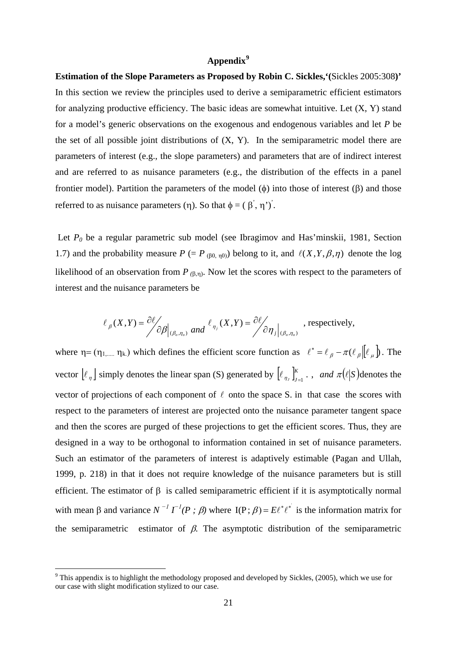## **Appendix[9](#page-22-0)**

**Estimation of the Slope Parameters as Proposed by Robin C. Sickles,'(**Sickles 2005:308**)'** In this section we review the principles used to derive a semiparametric efficient estimators for analyzing productive efficiency. The basic ideas are somewhat intuitive. Let  $(X, Y)$  stand for a model's generic observations on the exogenous and endogenous variables and let *P* be the set of all possible joint distributions of  $(X, Y)$ . In the semiparametric model there are parameters of interest (e.g., the slope parameters) and parameters that are of indirect interest and are referred to as nuisance parameters (e.g., the distribution of the effects in a panel frontier model). Partition the parameters of the model (φ) into those of interest (β) and those referred to as nuisance parameters (η). So that  $\phi = (β',η')$ .

1.7) and the probability measure  $P (= P_{(\beta0, \eta0)})$  belong to it, and  $\ell(X, Y, \beta, \eta)$  denote the log Let *P<sub>0</sub>* be a regular parametric sub model (see Ibragimov and Has'minskii, 1981, Section likelihood of an observation from  $P_{(\beta,\eta)}$ . Now let the scores with respect to the parameters of interest and the nuisance parameters be

$$
\ell_{\beta}(X,Y) = \frac{\partial \ell}{\partial \beta} \bigg|_{(\beta_o,\eta_o)} \text{ and } \ell_{\eta_j}(X,Y) = \frac{\partial \ell}{\partial \eta_j} \bigg|_{(\beta_o,\eta_o)}, \text{ respectively,}
$$

where  $\eta = (\eta_{1,\dots,1}, \eta_k)$  which defines the efficient score function as  $\ell^* = \ell_\beta - \pi(\ell_\beta)[\ell_\mu]$ . The vector  $\lbrack \ell_n \rbrack$  simply denotes the linear span (S) generated by  $\lbrack \ell_{n_j} \rbrack_{j=1}^K$ , and  $\pi(\ell|S)$  denotes the vector of projections of each component of  $\ell$  onto the space S. in that case the scores with respect to the parameters of interest are projected onto the nuisance parameter tangent space and then the scores are purged of these projections to get the efficient scores. Thus, they are designed in a way to be orthogonal to information contained in set of nuisance parameters. Such an estimator of the parameters of interest is adaptively estimable (Pagan and Ullah, 1999, p. 218) in that it does not require knowledge of the nuisance parameters but is still efficient. The estimator of  $\beta$  is called semiparametric efficient if it is asymptotically normal with mean β and variance  $N^{-1} \Gamma^{-1}(P; \beta)$  where  $I(P; \beta) = E\ell^* \ell^*$  is the information matrix for the semiparametric estimator of  $\beta$ . The asymptotic distribution of the semiparametric

<span id="page-22-0"></span><sup>&</sup>lt;sup>9</sup> This appendix is to highlight the methodology proposed and developed by Sickles, (2005), which we use for our case with slight modification stylized to our case.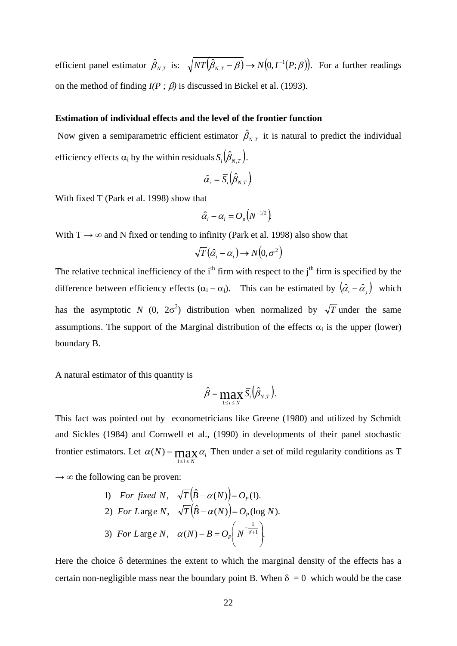efficient panel estimator  $\hat{\beta}_{N,T}$  is:  $\sqrt{NT(\hat{\beta}_{N,T} - \beta)} \rightarrow N(0, I^{-1}(P;\beta))$ . For a further readings on the method of finding  $I(P; \beta)$  is discussed in Bickel et al. (1993).

#### **Estimation of individual effects and the level of the frontier function**

Now given a semiparametric efficient estimator  $\hat{\beta}_{N,T}$  it is natural to predict the individual efficiency effects  $\alpha_i$  by the within residuals  $S_i(\hat{\beta}_{N,T})$ .

$$
\hat{\alpha}_i = \overline{S}_i \big( \hat{\beta}_{\scriptscriptstyle N,T} \big)
$$

With fixed T (Park et al. 1998) show that

$$
\hat{\alpha}_i-\alpha_i=O_{_{P}}\!\!\left(\!N^{-{\rm l}/2}\right)
$$

With  $T \rightarrow \infty$  and N fixed or tending to infinity (Park et al. 1998) also show that

$$
\sqrt{T}\big(\hat{\alpha}_i - \alpha_i\big) \rightarrow N\big(0, \sigma^2\big)
$$

The relative technical inefficiency of the  $i<sup>th</sup>$  firm with respect to the  $j<sup>th</sup>$  firm is specified by the difference between efficiency effects  $(\alpha_i - \alpha_j)$ . This can be estimated by  $(\hat{\alpha}_i - \hat{\alpha}_j)$  which has the asymptotic *N* (0,  $2\sigma^2$ ) distribution when normalized by  $\sqrt{T}$  under the same assumptions. The support of the Marginal distribution of the effects  $\alpha_i$  is the upper (lower) boundary B.

A natural estimator of this quantity is

$$
\hat{\beta} = \max_{1 \leq i \leq N} \overline{S}_i \left( \hat{\beta}_{N,T} \right).
$$

This fact was pointed out by econometricians like Greene (1980) and utilized by Schmidt and Sickles (1984) and Cornwell et al., (1990) in developments of their panel stochastic frontier estimators. Let  $\alpha(N) = \max_{\alpha} \alpha_{N}$  $i \leq N$ 1  $\leq i \leq$  $=$  max  $\alpha_i$ . Then under a set of mild regularity conditions as T

 $\rightarrow \infty$  the following can be proven:

1) For fixed N, 
$$
\sqrt{T}(\hat{B} - \alpha(N)) = O_p(1)
$$
.  
\n2) For Large N,  $\sqrt{T}(\hat{B} - \alpha(N)) = O_p(\log N)$ .  
\n3) For Large N,  $\alpha(N) - B = O_p\left(N^{-\frac{1}{\delta+1}}\right)$ .

Here the choice  $\delta$  determines the extent to which the marginal density of the effects has a certain non-negligible mass near the boundary point B. When  $\delta = 0$  which would be the case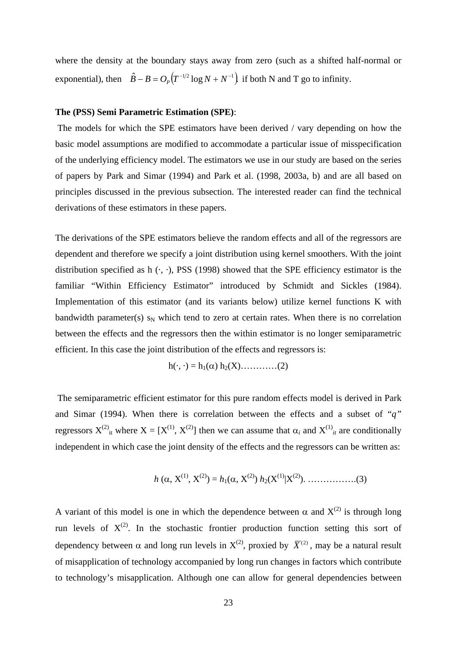where the density at the boundary stays away from zero (such as a shifted half-normal or exponential), then  $\hat{B} - B = O_P(T^{-1/2} \log N + N^{-1})$  if both N and T go to infinity.

#### **The (PSS) Semi Parametric Estimation (SPE)**:

The models for which the SPE estimators have been derived / vary depending on how the basic model assumptions are modified to accommodate a particular issue of misspecification of the underlying efficiency model. The estimators we use in our study are based on the series of papers by Park and Simar (1994) and Park et al. (1998, 2003a, b) and are all based on principles discussed in the previous subsection. The interested reader can find the technical derivations of these estimators in these papers.

The derivations of the SPE estimators believe the random effects and all of the regressors are dependent and therefore we specify a joint distribution using kernel smoothers. With the joint distribution specified as h  $(\cdot, \cdot)$ , PSS (1998) showed that the SPE efficiency estimator is the familiar "Within Efficiency Estimator" introduced by Schmidt and Sickles (1984). Implementation of this estimator (and its variants below) utilize kernel functions K with bandwidth parameter(s)  $s_N$  which tend to zero at certain rates. When there is no correlation between the effects and the regressors then the within estimator is no longer semiparametric efficient. In this case the joint distribution of the effects and regressors is:

$$
h(\cdot, \cdot) = h_1(\alpha) h_2(X) \dots \dots \dots \dots (2)
$$

The semiparametric efficient estimator for this pure random effects model is derived in Park and Simar (1994). When there is correlation between the effects and a subset of "*q"* regressors  $X^{(2)}$ <sub>it</sub> where  $X = [X^{(1)}, X^{(2)}]$  then we can assume that  $\alpha_i$  and  $X^{(1)}$ <sub>*it*</sub> are conditionally independent in which case the joint density of the effects and the regressors can be written as:

*h* (α, X(1), X(2)) = *h*1(α, X(2)) *h*2(X(1)|X(2)). …………….(3)

A variant of this model is one in which the dependence between  $\alpha$  and  $X^{(2)}$  is through long run levels of  $X^{(2)}$ . In the stochastic frontier production function setting this sort of dependency between  $\alpha$  and long run levels in  $X^{(2)}$ , proxied by  $\overline{X}^{(2)}$ , may be a natural result of misapplication of technology accompanied by long run changes in factors which contribute to technology's misapplication. Although one can allow for general dependencies between